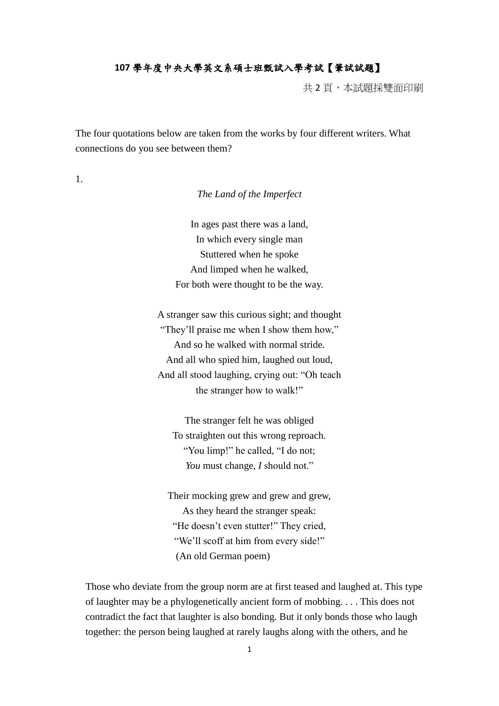## **107** 學年度中央大學英文系碩士班甄試入學考試【筆試試題】

共 2 頁,本試題採雙面印刷

The four quotations below are taken from the works by four different writers. What connections do you see between them?

1.

*The Land of the Imperfect*

In ages past there was a land, In which every single man Stuttered when he spoke And limped when he walked, For both were thought to be the way.

A stranger saw this curious sight; and thought "They'll praise me when I show them how," And so he walked with normal stride. And all who spied him, laughed out loud, And all stood laughing, crying out: "Oh teach the stranger how to walk!"

The stranger felt he was obliged To straighten out this wrong reproach. "You limp!" he called, "I do not; *You* must change, *I* should not."

Their mocking grew and grew and grew, As they heard the stranger speak: "He doesn't even stutter!" They cried, "We'll scoff at him from every side!" (An old German poem)

Those who deviate from the group norm are at first teased and laughed at. This type of laughter may be a phylogenetically ancient form of mobbing. . . . This does not contradict the fact that laughter is also bonding. But it only bonds those who laugh together: the person being laughed at rarely laughs along with the others, and he